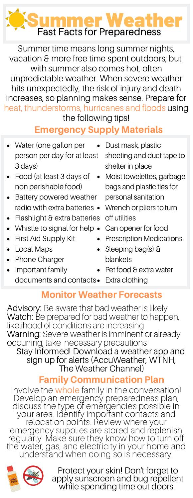# **Summer Weather**<br>Fast Facts for Preparedness

Summer time means long summer nights, vacation & more free time spent outdoors; but with summer also comes hot, often unpredictable weather. When severe weather hits unexpectedly, the risk of injury and death increases, so planning makes sense. Prepare for heat, thunderstorms, hurricanes and floods using the following tips!

# Emergency Supply Materials

- Water (one gallon per person per day for at least 3 days)
- Food (at least 3 days of non perishable food)
- Battery powered weather radio with extra batteries •
- Flashlight & extra batteries
- Whistle to signal for help  $\bullet$
- First Aid Supply Kit
- Local Maps
- Phone Charger
- Important family
- Dust mask, plastic
	- sheeting and duct tape to shelter in place
- Moist towelettes, garbage bags and plastic ties for personal sanitation
	- Wrench or pliers to turn off utilities
- Can opener for food
- Prescription Medications
- Sleeping bag(s) & blankets
- Pet food & extra water
- documents and contacts Extra clothing

# Monitor Weather Forecasts

Advisory: Be aware that bad weather is likely Watch: Be prepared for bad weather to happen, likelihood of conditions are increasing Warning: Severe weather is imminent or already occurring, take necessary precautions Stay Informed! Download a weather app and

sign up for alerts (AccuWeather, WTNH, The Weather Channel)

## Family Communication Plan

Involve the whole family in the conversation! moto the **imple** rarmy mane correspation.<br>Develop an emergency preparedness plan, discuss the type of emergencies possible in your area. Identify important contacts and relocation points. Review where your emergency supplies are stored and replenish regularly. Make sure they know how to turn off the water, gas, and electricity in your home and understand when doing so is necessary.



Protect your skin! Don't forget to apply sunscreen and bug repellent while spending time out doors.